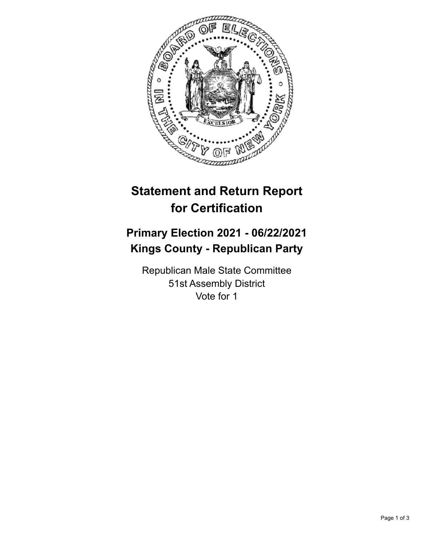

## **Statement and Return Report for Certification**

## **Primary Election 2021 - 06/22/2021 Kings County - Republican Party**

Republican Male State Committee 51st Assembly District Vote for 1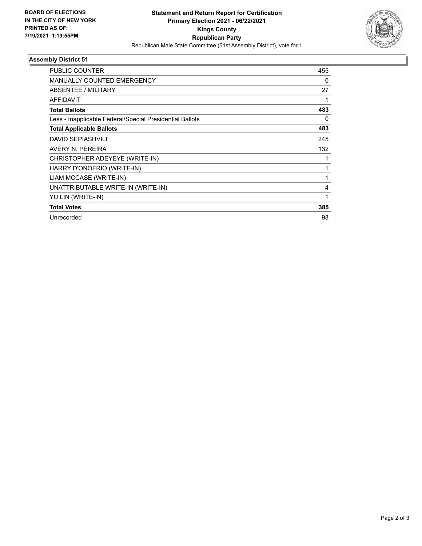

## **Assembly District 51**

| PUBLIC COUNTER                                           | 455 |
|----------------------------------------------------------|-----|
| <b>MANUALLY COUNTED EMERGENCY</b>                        | 0   |
| ABSENTEE / MILITARY                                      | 27  |
| <b>AFFIDAVIT</b>                                         |     |
| <b>Total Ballots</b>                                     | 483 |
| Less - Inapplicable Federal/Special Presidential Ballots | 0   |
| <b>Total Applicable Ballots</b>                          | 483 |
| <b>DAVID SEPIASHVILI</b>                                 | 245 |
| AVERY N. PEREIRA                                         | 132 |
| CHRISTOPHER ADEYEYE (WRITE-IN)                           |     |
| HARRY D'ONOFRIO (WRITE-IN)                               | 1   |
| LIAM MCCASE (WRITE-IN)                                   | 1   |
| UNATTRIBUTABLE WRITE-IN (WRITE-IN)                       | 4   |
| YU LIN (WRITE-IN)                                        | 1   |
| <b>Total Votes</b>                                       | 385 |
| Unrecorded                                               | 98  |